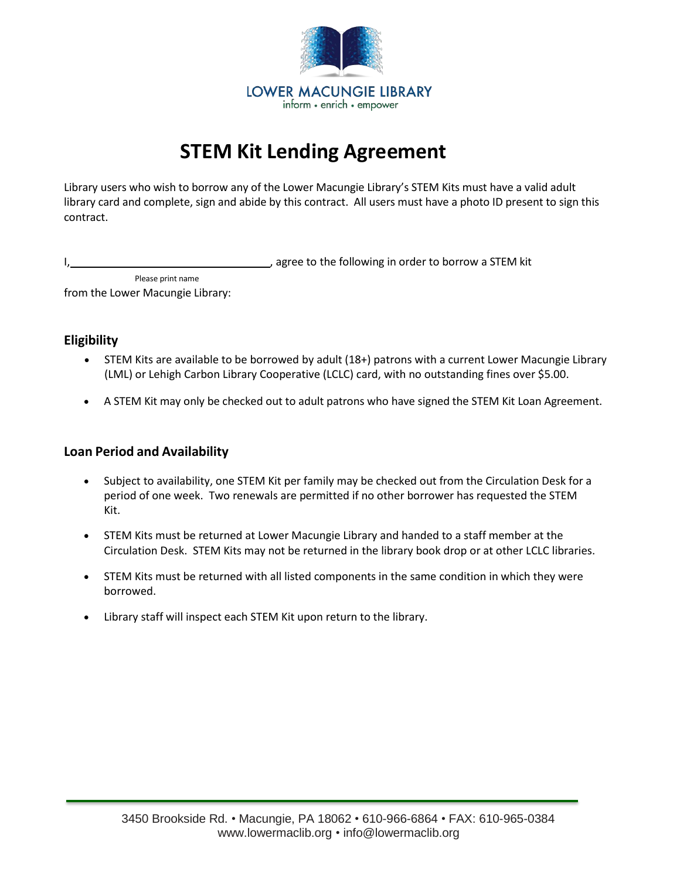

# **STEM Kit Lending Agreement**

Library users who wish to borrow any of the Lower Macungie Library's STEM Kits must have a valid adult library card and complete, sign and abide by this contract. All users must have a photo ID present to sign this contract.

gree to the following in order to borrow a STEM kit

Please print name from the Lower Macungie Library:

#### **Eligibility**

- STEM Kits are available to be borrowed by adult (18+) patrons with a current Lower Macungie Library (LML) or Lehigh Carbon Library Cooperative (LCLC) card, with no outstanding fines over \$5.00.
- A STEM Kit may only be checked out to adult patrons who have signed the STEM Kit Loan Agreement.

## **Loan Period and Availability**

- Subject to availability, one STEM Kit per family may be checked out from the Circulation Desk for a period of one week. Two renewals are permitted if no other borrower has requested the STEM Kit.
- STEM Kits must be returned at Lower Macungie Library and handed to a staff member at the Circulation Desk. STEM Kits may not be returned in the library book drop or at other LCLC libraries.
- STEM Kits must be returned with all listed components in the same condition in which they were borrowed.
- Library staff will inspect each STEM Kit upon return to the library.